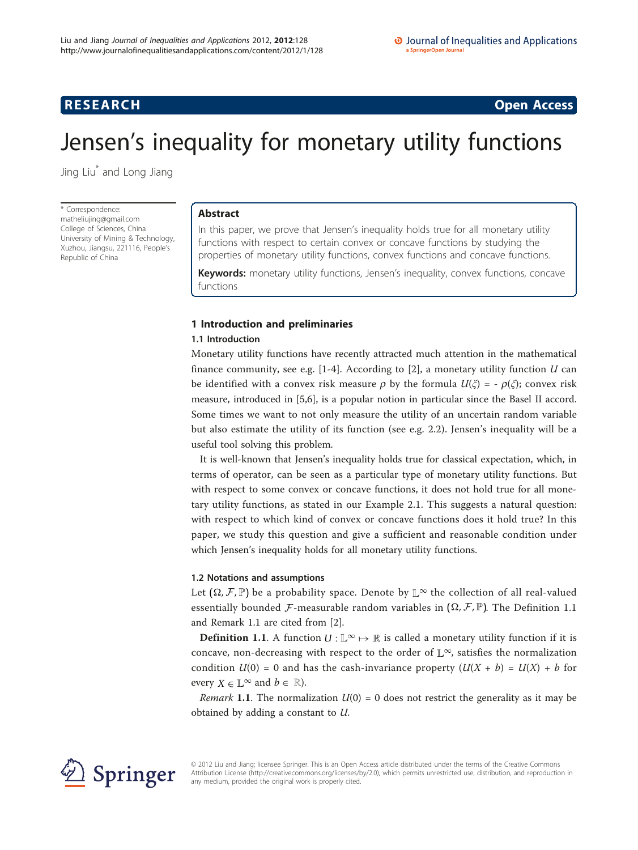## **RESEARCH CONSTRUCTION CONSTRUCTS**

# Jensen's inequality for monetary utility functions

Jing Liu\* and Long Jiang

\* Correspondence: [matheliujing@gmail.com](mailto:matheliujing@gmail.com) College of Sciences, China University of Mining & Technology, Xuzhou, Jiangsu, 221116, People's Republic of China

## Abstract

In this paper, we prove that Jensen's inequality holds true for all monetary utility functions with respect to certain convex or concave functions by studying the properties of monetary utility functions, convex functions and concave functions.

**Keywords:** monetary utility functions, Jensen's inequality, convex functions, concave functions

## 1 Introduction and preliminaries

## 1.1 Introduction

Monetary utility functions have recently attracted much attention in the mathematical finance community, see e.g.  $[1-4]$  $[1-4]$  $[1-4]$ . According to  $[2]$  $[2]$ , a monetary utility function U can be identified with a convex risk measure  $\rho$  by the formula  $U(\xi) = -\rho(\xi)$ ; convex risk measure, introduced in [[5,6\]](#page-3-0), is a popular notion in particular since the Basel II accord. Some times we want to not only measure the utility of an uncertain random variable but also estimate the utility of its function (see e.g. 2.2). Jensen's inequality will be a useful tool solving this problem.

It is well-known that Jensen's inequality holds true for classical expectation, which, in terms of operator, can be seen as a particular type of monetary utility functions. But with respect to some convex or concave functions, it does not hold true for all monetary utility functions, as stated in our Example 2.1. This suggests a natural question: with respect to which kind of convex or concave functions does it hold true? In this paper, we study this question and give a sufficient and reasonable condition under which Jensen's inequality holds for all monetary utility functions.

## 1.2 Notations and assumptions

Let  $(\Omega, \mathcal{F}, \mathbb{P})$  be a probability space. Denote by  $\mathbb{L}^{\infty}$  the collection of all real-valued essentially bounded  $\mathcal F$ -measurable random variables in  $(\Omega, \mathcal F, \mathbb P)$ . The Definition 1.1 and Remark 1.1 are cited from [\[2](#page-3-0)].

**Definition 1.1**. A function  $U : \mathbb{L}^{\infty} \to \mathbb{R}$  is called a monetary utility function if it is concave, non-decreasing with respect to the order of  $\mathbb{L}^{\infty}$ , satisfies the normalization condition  $U(0) = 0$  and has the cash-invariance property  $(U(X + b) = U(X) + b$  for every  $X \in \mathbb{L}^{\infty}$  and  $b \in \mathbb{R}$ ).

*Remark* 1.1. The normalization  $U(0) = 0$  does not restrict the generality as it may be obtained by adding a constant to U.



© 2012 Liu and Jiang; licensee Springer. This is an Open Access article distributed under the terms of the Creative Commons Attribution License [\(http://creativecommons.org/licenses/by/2.0](http://creativecommons.org/licenses/by/2.0)), which permits unrestricted use, distribution, and reproduction in any medium, provided the original work is properly cited.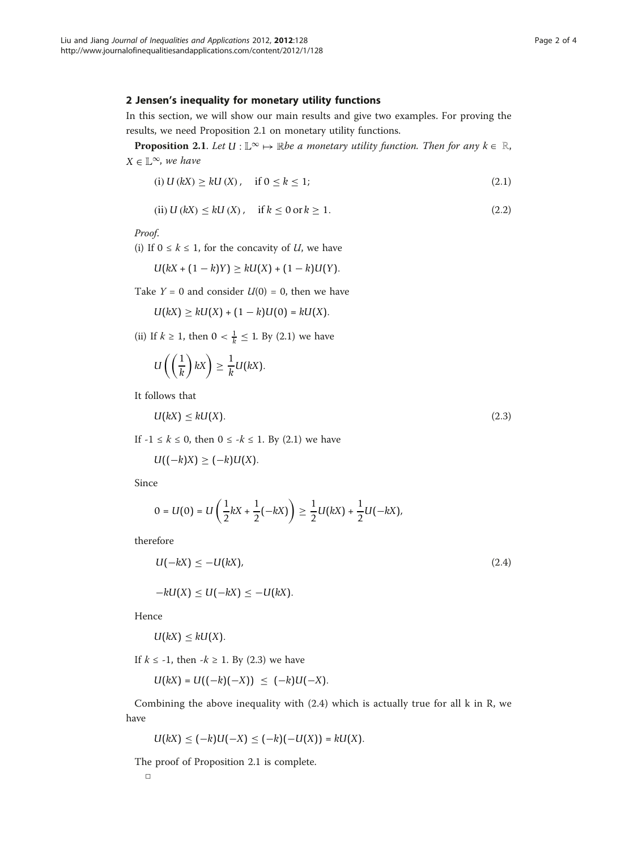### 2 Jensen's inequality for monetary utility functions

In this section, we will show our main results and give two examples. For proving the results, we need Proposition 2.1 on monetary utility functions.

**Proposition 2.1.** Let  $U : \mathbb{L}^\infty \mapsto \mathbb{R}$ be a monetary utility function. Then for any  $k \in \mathbb{R}$ ,  $X \in \mathbb{L}^{\infty}$ , we have

(i) 
$$
U(kX) \ge kU(X)
$$
, if  $0 \le k \le 1$ ;  $(2.1)$ 

(ii) 
$$
U(kX) \le kU(X)
$$
, if  $k \le 0$  or  $k \ge 1$ . (2.2)

Proof.

(i) If  $0 \leq k \leq 1$ , for the concavity of U, we have

$$
U(kX + (1 - k)Y) \ge kU(X) + (1 - k)U(Y).
$$

Take  $Y = 0$  and consider  $U(0) = 0$ , then we have

$$
U(kX) \ge kU(X) + (1 - k)U(0) = kU(X).
$$

(ii) If *k* ≥ 1, then 0 <  $\frac{1}{k}$  ≤ 1. By (2.1) we have

$$
U\left(\left(\frac{1}{k}\right)kX\right)\geq \frac{1}{k}U(kX).
$$

It follows that

$$
U(kX) \le kU(X). \tag{2.3}
$$

If  $-1 \le k \le 0$ , then  $0 \le -k \le 1$ . By (2.1) we have

$$
U((-k)X) \geq (-k)U(X).
$$

Since

$$
0 = U(0) = U\left(\frac{1}{2}kX + \frac{1}{2}(-kX)\right) \ge \frac{1}{2}U(kX) + \frac{1}{2}U(-kX),
$$

therefore

$$
U(-kX) \le -U(kX),\tag{2.4}
$$

$$
-kU(X) \le U(-kX) \le -U(kX).
$$

Hence

$$
U(kX)\leq kU(X).
$$

If  $k \le -1$ , then  $-k \ge 1$ . By (2.3) we have

$$
U(kX) = U((-k)(-X)) \leq (-k)U(-X).
$$

Combining the above inequality with (2.4) which is actually true for all k in R, we have

$$
U(kX) \leq (-k)U(-X) \leq (-k)(-U(X)) = kU(X).
$$

The proof of Proposition 2.1 is complete.

□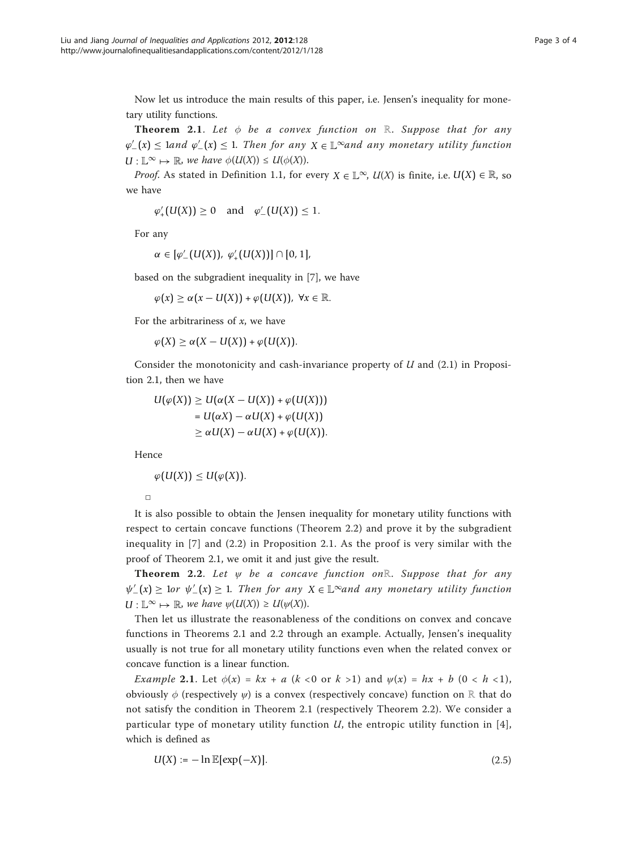Now let us introduce the main results of this paper, i.e. Jensen's inequality for monetary utility functions.

Theorem 2.1. Let  $\phi$  be a convex function on ℝ. Suppose that for any  $\varphi'_{-}(x) \leq 1$  and  $\varphi'_{-}(x) \leq 1$ . Then for any  $X \in \mathbb{L}^{\infty}$  and any monetary utility function  $U: \mathbb{L}^{\infty} \mapsto \mathbb{R}$ , we have  $\phi(U(X)) \leq U(\phi(X))$ .

*Proof.* As stated in Definition 1.1, for every  $X \in \mathbb{L}^{\infty}$ ,  $U(X)$  is finite, i.e.  $U(X) \in \mathbb{R}$ , so we have

$$
\varphi'_+(U(X))\geq 0 \quad \text{and} \quad \varphi'_-(U(X))\leq 1.
$$

For any

$$
\alpha \in [\varphi'_{-}(U(X)), \varphi'_{+}(U(X))] \cap [0,1],
$$

based on the subgradient inequality in [[7](#page-3-0)], we have

$$
\varphi(x) \geq \alpha(x - U(X)) + \varphi(U(X)), \ \forall x \in \mathbb{R}.
$$

For the arbitrariness of  $x$ , we have

 $\varphi(X) \geq \alpha(X - U(X)) + \varphi(U(X)).$ 

Consider the monotonicity and cash-invariance property of  $U$  and  $(2.1)$  in Proposition 2.1, then we have

$$
U(\varphi(X)) \ge U(\alpha(X - U(X)) + \varphi(U(X)))
$$
  
=  $U(\alpha X) - \alpha U(X) + \varphi(U(X))$   
 $\ge \alpha U(X) - \alpha U(X) + \varphi(U(X)).$ 

Hence

$$
\varphi(U(X))\leq U(\varphi(X)).
$$

□

It is also possible to obtain the Jensen inequality for monetary utility functions with respect to certain concave functions (Theorem 2.2) and prove it by the subgradient inequality in [[7](#page-3-0)] and (2.2) in Proposition 2.1. As the proof is very similar with the proof of Theorem 2.1, we omit it and just give the result.

Theorem 2.2. Let  $\psi$  be a concave function onℝ. Suppose that for any  $\psi_{-}'(x) \geq 1$ or  $\psi_{-}'(x) \geq 1$ . Then for any *X* ∈ L<sup>∞</sup>and any monetary utility function  $U: \mathbb{L}^{\infty} \mapsto \mathbb{R}$ , we have  $\psi(U(X)) \geq U(\psi(X))$ .

Then let us illustrate the reasonableness of the conditions on convex and concave functions in Theorems 2.1 and 2.2 through an example. Actually, Jensen's inequality usually is not true for all monetary utility functions even when the related convex or concave function is a linear function.

*Example* 2.1. Let  $\phi(x) = kx + a$  ( $k < 0$  or  $k > 1$ ) and  $\psi(x) = hx + b$  ( $0 < h < 1$ ), obviously  $\phi$  (respectively  $\psi$ ) is a convex (respectively concave) function on ℝ that do not satisfy the condition in Theorem 2.1 (respectively Theorem 2.2). We consider a particular type of monetary utility function  $U$ , the entropic utility function in [[4](#page-3-0)], which is defined as

$$
U(X) := -\ln \mathbb{E}[\exp(-X)].
$$
\n(2.5)